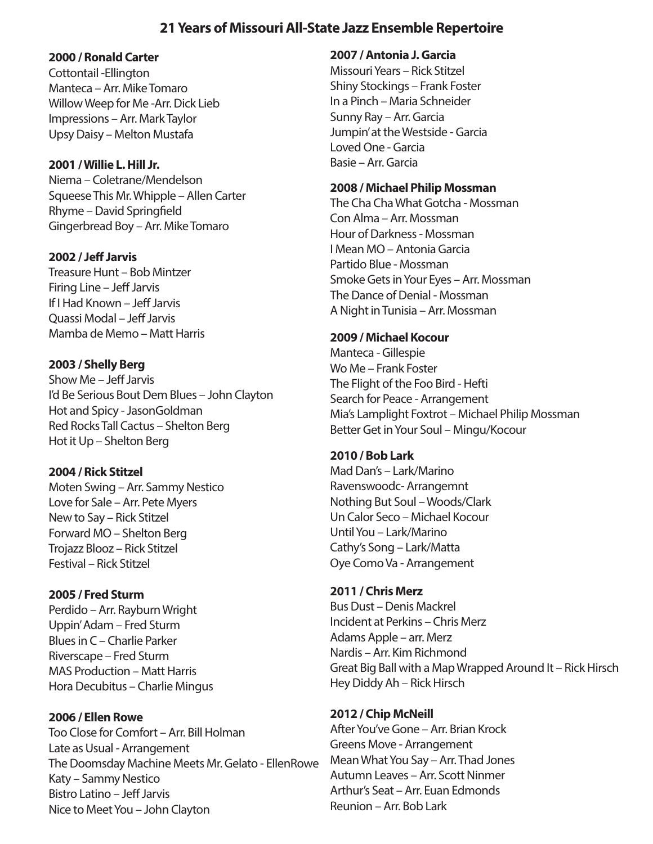# **21 Years of Missouri All-State Jazz Ensemble Repertoire**

### **2000 / Ronald Carter**

Cottontail -Ellington Manteca – Arr. Mike Tomaro Willow Weep for Me -Arr. Dick Lieb Impressions – Arr. Mark Taylor Upsy Daisy – Melton Mustafa

### **2001 / Willie L. Hill Jr.**

Niema – Coletrane/Mendelson Squeese This Mr. Whipple – Allen Carter Rhyme – David Springfield Gingerbread Boy – Arr. Mike Tomaro

## **2002 / Je Jarvis**

Treasure Hunt – Bob Mintzer Firing Line – Jeff Jarvis If I Had Known – Jeff Jarvis Quassi Modal – Jeff Jarvis Mamba de Memo – Matt Harris

## **2003 / Shelly Berg**

Show Me – Jeff Jarvis I'd Be Serious Bout Dem Blues – John Clayton Hot and Spicy - JasonGoldman Red Rocks Tall Cactus – Shelton Berg Hot it Up – Shelton Berg

## **2004 / Rick Stitzel**

Moten Swing – Arr. Sammy Nestico Love for Sale – Arr. Pete Myers New to Say – Rick Stitzel Forward MO – Shelton Berg Trojazz Blooz – Rick Stitzel Festival – Rick Stitzel

## **2005 / Fred Sturm**

Perdido – Arr. Rayburn Wright Uppin' Adam – Fred Sturm Blues in C – Charlie Parker Riverscape – Fred Sturm MAS Production – Matt Harris Hora Decubitus – Charlie Mingus

**2006 / Ellen Rowe** Too Close for Comfort – Arr. Bill Holman Late as Usual - Arrangement The Doomsday Machine Meets Mr. Gelato - EllenRowe Katy – Sammy Nestico Bistro Latino – Jeff Jarvis Nice to Meet You – John Clayton

### **2007 / Antonia J. Garcia**

Missouri Years – Rick Stitzel Shiny Stockings – Frank Foster In a Pinch – Maria Schneider Sunny Ray – Arr. Garcia Jumpin' at the Westside - Garcia Loved One - Garcia Basie – Arr. Garcia

## **2008 / Michael Philip Mossman**

The Cha Cha What Gotcha - Mossman Con Alma – Arr. Mossman Hour of Darkness - Mossman I Mean MO – Antonia Garcia Partido Blue - Mossman Smoke Gets in Your Eyes – Arr. Mossman The Dance of Denial - Mossman A Night in Tunisia – Arr. Mossman

## **2009 / Michael Kocour**

Manteca - Gillespie Wo Me – Frank Foster The Flight of the Foo Bird - Hefti Search for Peace - Arrangement Mia's Lamplight Foxtrot – Michael Philip Mossman Better Get in Your Soul – Mingu/Kocour

## **2010 / Bob Lark**

Mad Dan's – Lark/Marino Ravenswoodc- Arrangemnt Nothing But Soul – Woods/Clark Un Calor Seco – Michael Kocour Until You – Lark/Marino Cathy's Song – Lark/Matta Oye Como Va - Arrangement

## **2011 / Chris Merz**

Bus Dust – Denis Mackrel Incident at Perkins – Chris Merz Adams Apple – arr. Merz Nardis – Arr. Kim Richmond Great Big Ball with a Map Wrapped Around It – Rick Hirsch Hey Diddy Ah – Rick Hirsch

## **2012 / Chip McNeill**

After You've Gone – Arr. Brian Krock Greens Move - Arrangement Mean What You Say – Arr. Thad Jones Autumn Leaves – Arr. Scott Ninmer Arthur's Seat – Arr. Euan Edmonds Reunion – Arr. Bob Lark